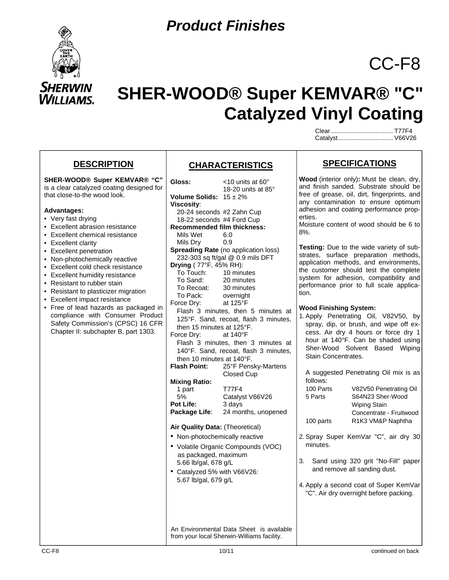

# **SHER-WOOD® Super KEMVAR® "C" Catalyzed Vinyl Coating**

Clear .................................... T77F4 Catalyst ................................ V66V26

CC-F8

### **DESCRIPTION**

**SHER-WOOD® Super KEMVAR® "C"** is a clear catalyzed coating designed for that close-to-the wood look.

#### **Advantages:**

- Very fast drying
- Excellent abrasion resistance
- Excellent chemical resistance
- Excellent clarity
- Excellent penetration
- Non-photochemically reactive
- Excellent cold check resistance
- Excellent humidity resistance
- Resistant to rubber stain
- Resistant to plasticizer migration
- Excellent impact resistance
- Free of lead hazards as packaged in compliance with Consumer Product Safety Commission's (CPSC) 16 CFR Chapter II: subchapter B, part 1303.

## **CHARACTERISTICS**

Gloss: <10 units at 60<sup>°</sup> 18-20 units at 85° **Volume Solids:** 15 ± 2% **Viscosity**: 20-24 seconds #2 Zahn Cup 18-22 seconds #4 Ford Cup **Recommended film thickness:** Mils Wet 6.0 Mils Dry 0.9 **Spreading Rate** (no application loss) 232-303 sq ft/gal @ 0.9 mils DFT **Drying** ( 77°F, 45% RH): To Touch: 10 minutes To Sand: 20 minutes To Recoat: 30 minutes To Pack: overnight Force Dry: at 125°F Flash 3 minutes, then 5 minutes at 125°F. Sand, recoat, flash 3 minutes, then 15 minutes at 125°F. Force Dry: at 140°F Flash 3 minutes, then 3 minutes at 140°F. Sand, recoat, flash 3 minutes, then 10 minutes at 140°F.<br>Flash Point: 25°F Pens **Flash Point:** 25°F Pensky-Martens Closed Cup **Mixing Ratio:** 1 part T77F4 5% Catalyst V66V26 **Pot Life:** 3 days Package Life: 24 months, unopened **Air Quality Data:** (Theoretical) • Non-photochemically reactive • Volatile Organic Compounds (VOC) as packaged, maximum 5.66 lb/gal, 678 g/L • Catalyzed 5% with V66V26: 5.67 lb/gal, 679 g/L An Environmental Data Sheet is available from your local Sherwin-Williams facility.

## **SPECIFICATIONS**

**Wood** (interior only)**:** Must be clean, dry, and finish sanded. Substrate should be free of grease, oil, dirt, fingerprints, and any contamination to ensure optimum adhesion and coating performance properties.

Moisture content of wood should be 6 to 8%.

**Testing:** Due to the wide variety of substrates, surface preparation methods, application methods, and environments, the customer should test the complete system for adhesion, compatibility and performance prior to full scale application.

#### **Wood Finishing System:**

1. Apply Penetrating Oil, V82V50, by spray, dip, or brush, and wipe off excess. Air dry 4 hours or force dry 1 hour at 140°F. Can be shaded using Sher-Wood Solvent Based Wiping Stain Concentrates.

 A suggested Penetrating Oil mix is as follows: 100 Parts V82V50 Penetrating Oil 5 Parts S64N23 Sher-Wood Wiping Stain Concentrate - Fruitwood 100 parts R1K3 VM&P Naphtha

- 2. Spray Super KemVar "C", air dry 30 minutes.
- 3. Sand using 320 grit "No-Fill" paper and remove all sanding dust.
- 4. Apply a second coat of Super KemVar "C". Air dry overnight before packing.